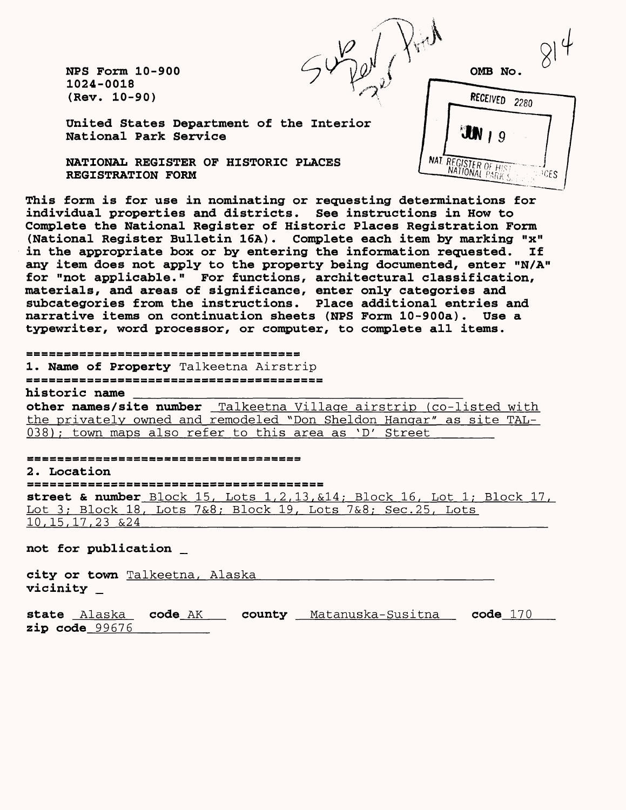**NFS Form 10-900 1024-0018 (Rev. 10-90)**

OMB No.

**United States Department of the Interior National Park Service**

NATIONAL REGISTER OF HISTORIC PLACES REGISTRATION FORM

**This form is for use in nominating or requesting determinations for individual properties and districts. See instructions in How to Complete the National Register of Historic Places Registration Form (National Register Bulletin 16A) . Complete each item by marking "x"**  in the appropriate box or by entering the information requested. **any item does not apply to the property being documented, enter "N/A" for "not applicable." For functions, architectural classification, materials, and areas of significance, enter only categories and subcategories from the instructions. Place additional entries and narrative items on continuation sheets (NPS Form 10-900a). Use a typewriter, word processor, or computer, to complete all items.**

**1. Name of Property** Talkeetna Airstrip

**historic name \_\_\_\_\_\_\_\_\_\_\_\_\_\_\_\_\_\_\_\_\_\_\_\_\_\_\_\_\_\_\_\_\_\_**

**other names/site number** Talkeetna Village airstrip (co-listed with the privately owned and remodeled "Don Sheldon Hangar " as site TAL-038); town maps also refer to this area as 'D' Street

EEEEEEEEEEEEEEEEEEEEEEEEEEEEEEEEE **2. Location street & number** Block 15, Lots 1,2,13,&14; Block 16, Lot 1; Block 17 Lot 3; Block 18, Lots 7&8; Block 19, Lots 7&8; Sec.25, Lots 10,15.17.23 &24\_\_\_\_\_\_\_\_\_\_\_\_\_\_\_\_\_\_\_\_\_\_\_\_\_\_\_\_\_\_\_\_\_\_\_\_\_\_\_\_\_\_\_\_\_\_\_\_

**not for publication \_**

|          |     | city or town Talkeetna, Alaska |                                                                                                                 |  |  |  |  |
|----------|-----|--------------------------------|-----------------------------------------------------------------------------------------------------------------|--|--|--|--|
| vicinity |     |                                |                                                                                                                 |  |  |  |  |
| .        | - - |                                | the contract of the contract of the contract of the contract of the contract of the contract of the contract of |  |  |  |  |

**state** Alaska **code** AK **county** Matanuska-Susitna **code** 170 **zip code** 99676

| RECEIVED 2280                                   |  |
|-------------------------------------------------|--|
| 30019                                           |  |
| <b>NAT REGISTER OF HIST</b><br>$\triangle$ ACES |  |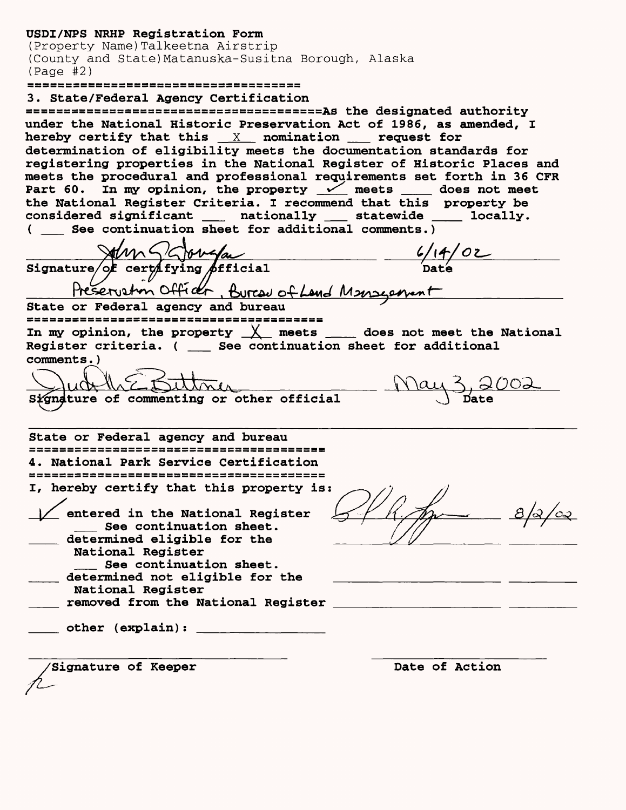(Property Name)Talkeetna Airstrip (County and State)Matanuska-Susitna Borough, Alaska (Page #2)

3. State/Federal Agency Certification

=======================================As the designated authority under the National Historic Preservation Act of 1986, as amended, I hereby certify that this  $X$  nomination  $T$  request for determination of eligibility meets the documentation standards for registering properties in the National Register of Historic Places and meets the procedural and professional requirements set forth in 36 CFR Part 60. In my opinion, the property  $\overline{\smile}$  meets \_\_\_ does not meet the National Register Criteria. I recommend that this property be considered significant \_\_\_\_ nationally \_\_\_ statewide \_\_\_ locally. ( \_\_ See continuation sheet for additional comments.)

Signature of certifying president end Monseonent

State or Federal agency and bureau In my opinion, the property  $\underline{\bigvee}$  meets  $\underline{\hspace{1cm}}$  does not meet the National Register criteria. ( \_\_ See continuation sheet for additional comment s . )

uct that 5 thanh<br>ture of commenting or other official

State or Federal agency and bureau 4. National Park Service Certification I, hereby certify that this property is:

 $\angle$  entered in the National Register **EXECU See continuation sheet.** determined eligible for the National Register \_\_ See continuation sheet. determined not eligible for the National Register removed from the National Register

 $m - 8/2/c$ 

other (explain): \_\_\_\_\_\_\_\_\_\_\_\_\_\_

Signature of Keeper **Date of Action**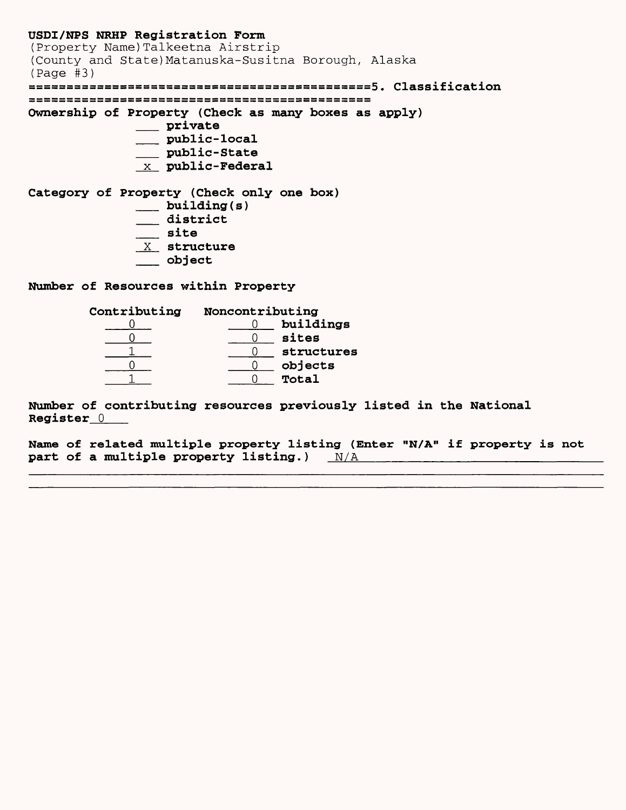(Property Name)Talkeetna Airstrip (County and State)Matanuska-Susitna Borough, Alaska  $(Paq e #3)$ 

=============================================5. Classification

Ownership of Property (Check as many boxes as apply)

\_\_ private

- \_\_ public-local
- \_\_ public-State
- x public-Federal

Category of Property (Check only one box)

- $\rule{1em}{0.15mm} \begin{pmatrix} 1 & 0 \\ 0 & 1 \end{pmatrix}$
- \_\_ district
- \_\_ site
- $X$  structure
- \_\_ object

#### Number of Resources within Property

| Contributing | Noncontributing |  |  |  |
|--------------|-----------------|--|--|--|
|              | buildings       |  |  |  |
|              | sites           |  |  |  |
|              | structures      |  |  |  |
|              | objects         |  |  |  |
|              | Total           |  |  |  |

Number of contributing resources previously listed in the National Register 0

Name of related multiple property listing (Enter "N/A" if property is not part of a multiple property listing.) N/A\_\_\_\_\_\_\_\_\_\_\_\_\_\_\_\_\_\_\_\_\_\_\_\_\_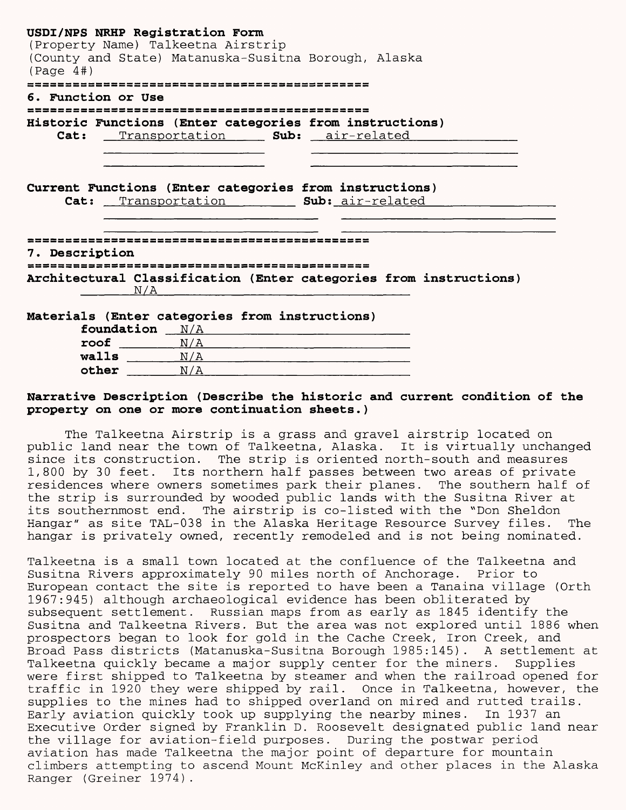| (Paqe 4#)          | USDI/NPS NRHP Registration Form<br>(Property Name) Talkeetna Airstrip<br>(County and State) Matanuska-Susitna Borough, Alaska |  |
|--------------------|-------------------------------------------------------------------------------------------------------------------------------|--|
| 6. Function or Use |                                                                                                                               |  |
|                    |                                                                                                                               |  |
|                    | Historic Functions (Enter categories from instructions)<br><b>Cat:</b> Transportation <b>Sub:</b> air-related                 |  |
|                    | Current Functions (Enter categories from instructions)<br><b>Cat:</b> Transportation <b>Sub:</b> air-related                  |  |
| 7. Description     |                                                                                                                               |  |
|                    | Architectural Classification (Enter categories from instructions)<br>N/A                                                      |  |
|                    | Materials (Enter categories from instructions)<br>foundation N/A                                                              |  |

| roungation | N/A |  |  |
|------------|-----|--|--|
| roof       | N/A |  |  |
| walls      |     |  |  |
| other      |     |  |  |
|            |     |  |  |

#### **Narrative Description (Describe the historic and current condition of the property on one or more continuation sheets.)**

The Talkeetna Airstrip is a grass and gravel airstrip located on<br>c land near the town of Talkeetna, Alaska. It is virtually unchanged public land near the town of Talkeetna, Alaska. since its construction. The strip is oriented north-south and measures 1,800 by 30 feet. Its northern half passes between two areas of private residences where owners sometimes park their planes. The southern half of the strip is surrounded by wooded public lands with the Susitna River at<br>its southernmost end. The airstrip is co-listed with the "Don Sheldon The airstrip is co-listed with the "Don Sheldon<br>3 in the Alaska Heritage Resource Survey files. The Hangar" as site TAL-038 in the Alaska Heritage Resource Survey files. hangar is privately owned, recently remodeled and is not being nominated.

Talkeetna is a small town located at the confluence of the Talkeetna and<br>Susitna Rivers approximately 90 miles north of Anchorage. Prior to Susitna Rivers approximately 90 miles north of Anchorage. European contact the site is reported to have been a Tanaina village (Orth 1967:945) although archaeological evidence has been obliterated by subsequent settlement. Russian maps from as early as 1845 identify the Susitna and Talkeetna Rivers. But the area was not explored until 1886 when prospectors began to look for gold in the Cache Creek, Iron Creek, and Broad Pass districts (Matanuska-Susitna Borough 1985:145). A settlement at Talkeetna quickly became a major supply center for the miners. Supplies were first shipped to Talkeetna by steamer and when the railroad opened for traffic in 1920 they were shipped by rail. Once in Talkeetna, however, the supplies to the mines had to shipped overland on mired and rutted trails.<br>Early aviation quickly took up supplying the nearby mines. In 1937 an Early aviation quickly took up supplying the nearby mines. Executive Order signed by Franklin D. Roosevelt designated public land near the village for aviation-field purposes. During the postwar period aviation has made Talkeetna the major point of departure for mountain climbers attempting to ascend Mount McKinley and other places in the Alaska Ranger (Greiner 1974) .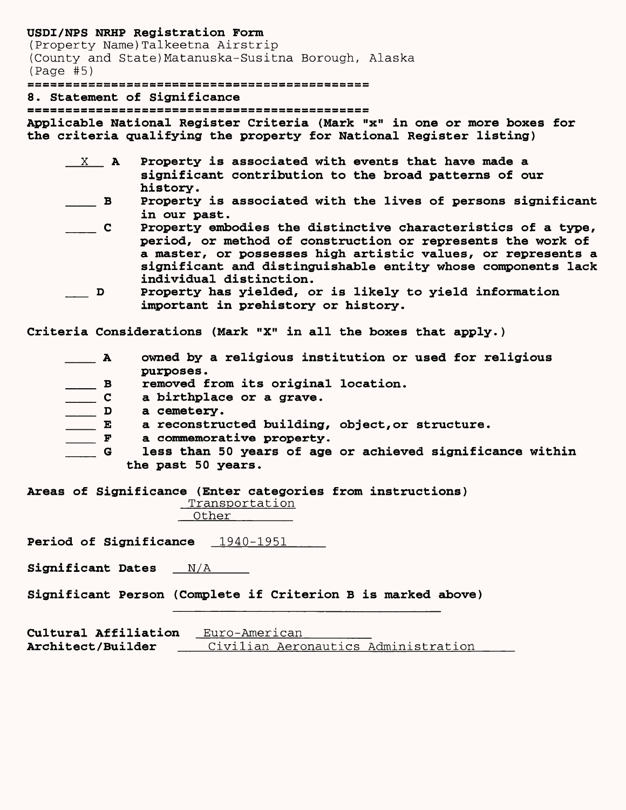(Property Name)Talkeetna Airstrip (County and State)Matanuska-Susitna Borough, Alaska (Page #5)

8. Statement of Significance

Applicable National Register Criteria (Mark "x" in one or more boxes for the criteria qualifying the property for National Register listing)

- X A Property is associated with events that have made a significant contribution to the broad patterns of our history.
	- \_\_\_ B Property is associated with the lives of persons significant in our past.
- \_\_\_ C Property embodies the distinctive characteristics of a type, period, or method of construction or represents the work of a master, or possesses high artistic values, or represents a significant and distinguishable entity whose components lack individual distinction.
- \_\_ D Property has yielded, or is likely to yield information important in prehistory or history.

Criteria Considerations (Mark "X" in all the boxes that apply.)

| $\mathbf{A}$                                                                                                                                                                                                                                                                                                                                                                                                                                                                    | owned by a religious institution or used for religious    |
|---------------------------------------------------------------------------------------------------------------------------------------------------------------------------------------------------------------------------------------------------------------------------------------------------------------------------------------------------------------------------------------------------------------------------------------------------------------------------------|-----------------------------------------------------------|
|                                                                                                                                                                                                                                                                                                                                                                                                                                                                                 | purposes.                                                 |
| $\overline{B}$                                                                                                                                                                                                                                                                                                                                                                                                                                                                  | removed from its original location.                       |
| $\overline{\phantom{a}}$ $\overline{\phantom{a}}$ $\overline{\phantom{a}}$ $\overline{\phantom{a}}$ $\overline{\phantom{a}}$ $\overline{\phantom{a}}$ $\overline{\phantom{a}}$ $\overline{\phantom{a}}$ $\overline{\phantom{a}}$ $\overline{\phantom{a}}$ $\overline{\phantom{a}}$ $\overline{\phantom{a}}$ $\overline{\phantom{a}}$ $\overline{\phantom{a}}$ $\overline{\phantom{a}}$ $\overline{\phantom{a}}$ $\overline{\phantom{a}}$ $\overline{\phantom{a}}$ $\overline{\$ | a birthplace or a grave.                                  |
| $\overline{\phantom{a}}$                                                                                                                                                                                                                                                                                                                                                                                                                                                        | a cemetery.                                               |
| $\mathbf{E}$                                                                                                                                                                                                                                                                                                                                                                                                                                                                    | a reconstructed building, object, or structure.           |
| F                                                                                                                                                                                                                                                                                                                                                                                                                                                                               | a commemorative property.                                 |
| G                                                                                                                                                                                                                                                                                                                                                                                                                                                                               | less than 50 years of age or achieved significance within |
|                                                                                                                                                                                                                                                                                                                                                                                                                                                                                 | the past 50 years.                                        |
|                                                                                                                                                                                                                                                                                                                                                                                                                                                                                 | as of Significance (Enter categories from instructions)   |

Areas of Significance (Enter categories from instructions) Transportation Other\_\_\_\_\_\_\_

Period of Significance 1940-1951

Significant Dates N/A

Significant Person (Complete if Criterion B is marked above)

Cultural Affiliation Euro-American Architect/Builder **Australian Aeronautics Administration**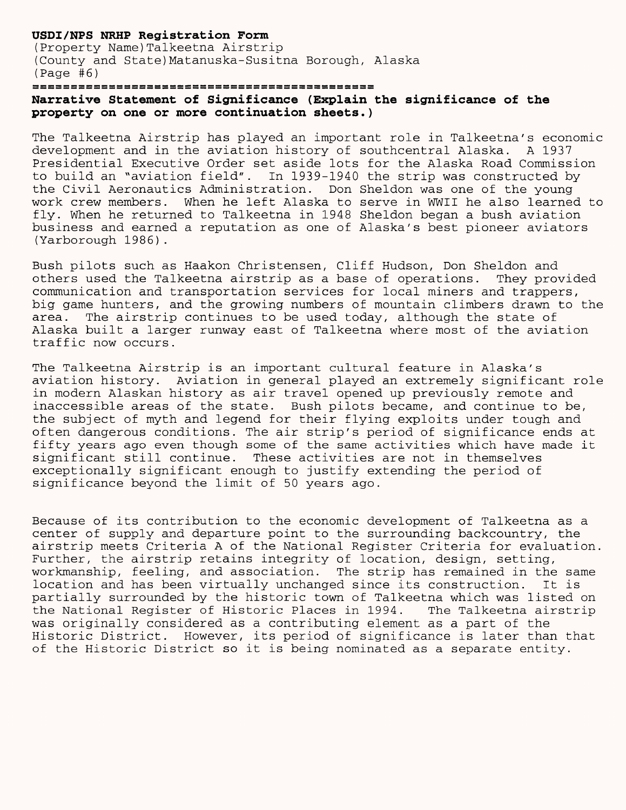(Property Name)Talkeetna Airstrip (County and State)Matanuska-Susitna Borough, Alaska (Page #6)

**Narrative Statement of Significance (Explain the significance of the property on one or more continuation sheets.)**

The Talkeetna Airstrip has played an important role in Talkeetna's economic development and in the aviation history of southcentral Alaska. A 1937 Presidential Executive Order set aside lots for the Alaska Road Commission to build an "aviation field". In 1939-1940 the strip was constructed by the Civil Aeronautics Administration. Don Sheldon was one of the young work crew members. When he left Alaska to serve in WWII he also learned to fly. When he returned to Talkeetna in 1948 Sheldon began a bush aviation business and earned a reputation as one of Alaska's best pioneer aviators (Yarborough 1986).

Bush pilots such as Haakon Christensen, Cliff Hudson, Don Sheldon and others used the Talkeetna airstrip as a base of operations. They provided communication and transportation services for local miners and trappers, big game hunters, and the growing numbers of mountain climbers drawn to the area. The airstrip continues to be used today, although the state of Alaska built a larger runway east of Talkeetna where most of the aviation traffic now occurs.

The Talkeetna Airstrip is an important cultural feature in Alaska's aviation history. Aviation in general played an extremely significant role in modern Alaskan history as air travel opened up previously remote and inaccessible areas of the state. Bush pilots became, and continue to be, the subject of myth and legend for their flying exploits under tough and often dangerous conditions. The air strip's period of significance ends at fifty years ago even though some of the same activities which have made it significant still continue. These activities are not in themselves exceptionally significant enough to justify extending the period of significance beyond the limit of 50 years ago.

Because of its contribution to the economic development of Talkeetna as a center of supply and departure point to the surrounding backcountry, the airstrip meets Criteria A of the National Register Criteria for evaluation. Further, the airstrip retains integrity of location, design, setting, workmanship, feeling, and association. The strip has remained in the same location and has been virtually unchanged since its construction. It is partially surrounded by the historic town of Talkeetna which was listed on the National Register of Historic Places in 1994. The Talkeetna airstrip was originally considered as a contributing element as a part of the Historic District. However, its period of significance is later than that of the Historic District so it is being nominated as a separate entity.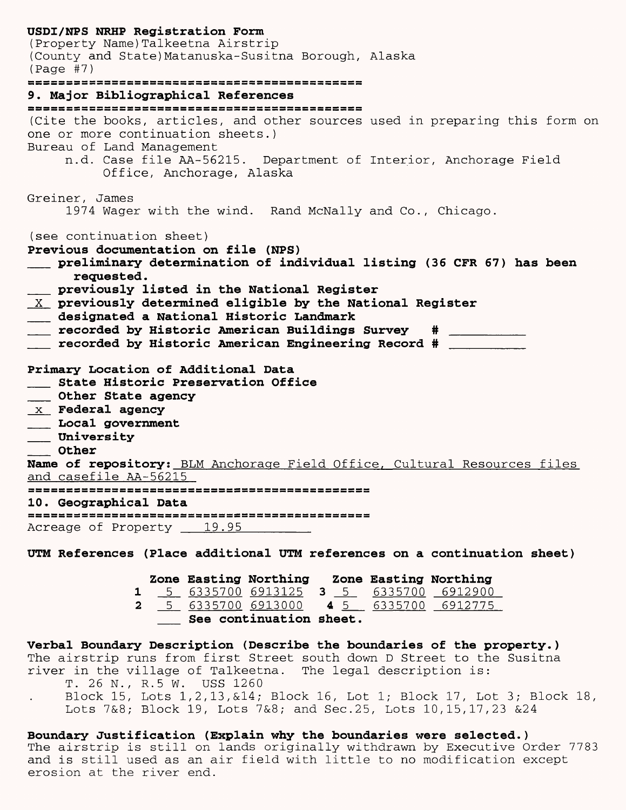**USDI/NPS NRHP Registration Form** (Property Name)Talkeetna Airstrip (County and State)Matanuska-Susitna Borough, Alaska (Page #7) **9. Major Bibliographical References** (Cite the books, articles, and other sources used in preparing this form on one or more continuation sheets.) Bureau of Land Management n.d. Case file AA-56215. Department of Interior, Anchorage Field Office, Anchorage, Alaska Greiner, James 1974 Wager with the wind. Rand McNally and Co., Chicago. (see continuation sheet) **Previous documentation on file (NFS) \_\_ preliminary determination of individual listing (36 CFR 67) has been requested. \_\_ previously listed in the National Register X previously determined eligible by the National Register \_\_ designated a National Historic Landmark \_\_ recorded by Historic American Buildings Survey # \_\_\_\_\_\_\_\_ \_\_ recorded by Historic American Engineering Record # \_\_\_\_\_\_\_\_ Primary Location of Additional Data \_\_ State Historic Preservation Office \_\_ Other State agency x Federal agency \_\_ Local government \_\_ University \_\_ Other Name of repository;** BLM Anchorage Field Office, Cultural Resources files and casefile AA-56215 **10. Geographical Data** Acreage of Property 19.95

**UTM References (Place additional UTM references on a continuation sheet)**

|  | Zone Easting Northing                                                                                         |  | Zone Easting Northing |
|--|---------------------------------------------------------------------------------------------------------------|--|-----------------------|
|  | 1 5 6335700 6913125 3 5 6335700 6912900                                                                       |  |                       |
|  | 2 5 6335700 6913000 4 5 6335700 6912775                                                                       |  |                       |
|  | restaurante de la constitución de la constitución de la constitución de la constitución de la constitución de |  |                       |

**\_\_ See continuation sheet.**

 $\mathbf{L}$ 

**Verbal Boundary Description (Describe the boundaries of the property.)** The airstrip runs from first Street south down D Street to the Susitna river in the village of Talkeetna. The legal description is: T. 26 N., R.5 W. USS 1260

Block 15, Lots 1,2,13,&14; Block 16, Lot 1; Block 17, Lot 3; Block 18, Lots 7&8; Block 19, Lots 7&8; and Sec.25, Lots 10,15,17,23 &24

**Boundary Justification (Explain why the boundaries were selected.)** The airstrip is still on lands originally withdrawn by Executive Order 7783 and is still used as an air field with little to no modification except erosion at the river end.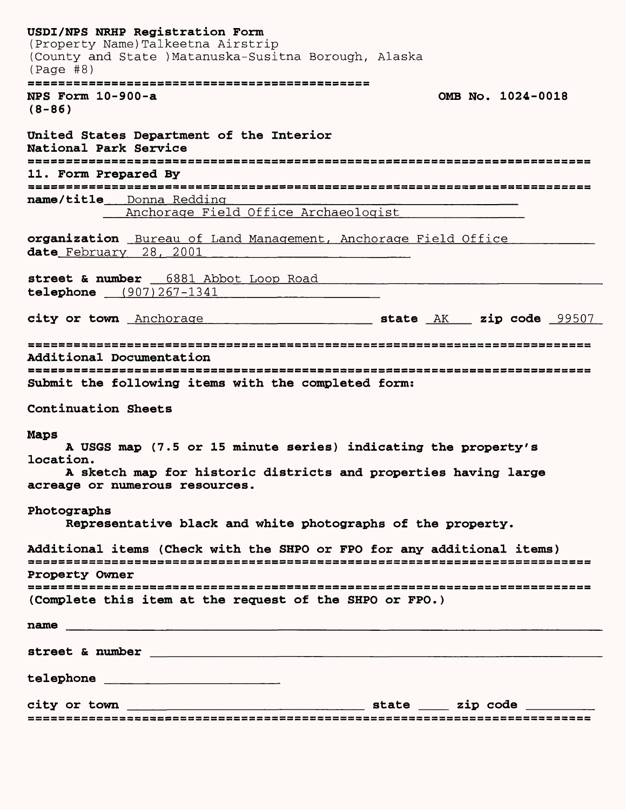| USDI/NPS NRHP Registration Form<br>(Property Name) Talkeetna Airstrip<br>(County and State ) Matanuska-Susitna Borough, Alaska<br>(Page #8)                                              |                   |
|------------------------------------------------------------------------------------------------------------------------------------------------------------------------------------------|-------------------|
| NPS Form $10-900-a$<br>$(8 - 86)$                                                                                                                                                        | OMB No. 1024-0018 |
| United States Department of the Interior<br>National Park Service<br>,,,,,,,,,,,,,,,,,,,,,,,,,,,,,,,,,,,,,,                                                                              |                   |
| 11. Form Prepared By                                                                                                                                                                     |                   |
| name/title Donna Redding<br>Anchorage Field Office Archaeologist                                                                                                                         |                   |
| organization Bureau of Land Management, Anchorage Field Office<br>date February 28, 2001                                                                                                 |                   |
| street & number 6881 Abbot Loop Road<br>telephone $(907)267-1341$                                                                                                                        |                   |
| city or town Anchorage and State AK zip code 99507                                                                                                                                       |                   |
| Submit the following items with the completed form:<br>Continuation Sheets                                                                                                               |                   |
| Maps<br>A USGS map (7.5 or 15 minute series) indicating the property's<br>location.<br>A sketch map for historic districts and properties having large<br>acreage or numerous resources. |                   |
| Photographs<br>Representative black and white photographs of the property.                                                                                                               |                   |
| Additional items (Check with the SHPO or FPO for any additional items)<br>Property Owner<br>(Complete this item at the request of the SHPO or FPO.)                                      |                   |
|                                                                                                                                                                                          |                   |
|                                                                                                                                                                                          |                   |
| telephone ____________________________                                                                                                                                                   |                   |
| city or town $\begin{array}{ c c c c c }\n\hline\n& \text{skip} & \text{skip} & \text{skip} & \text{right} & \text{zip code } \end{array}$                                               |                   |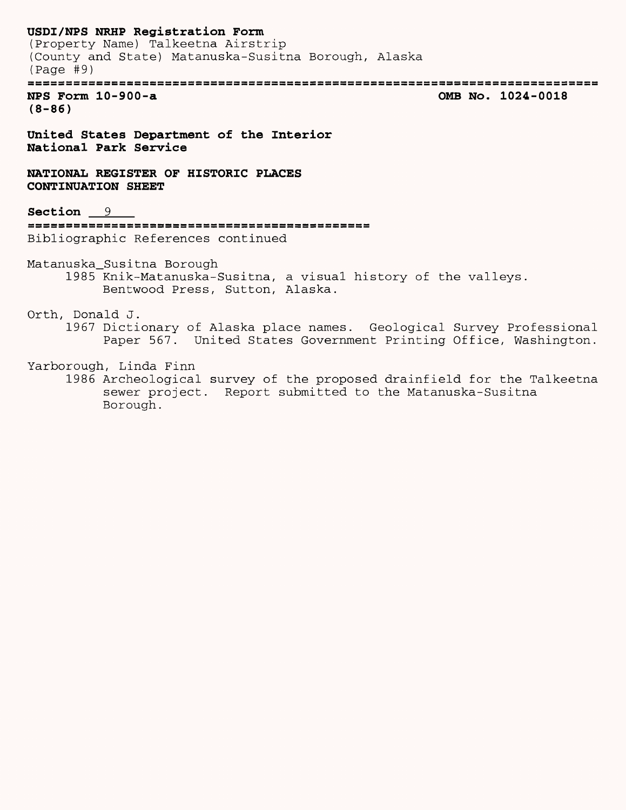**USDI/NPS NRHP Registration Form** (Property Name) Talkeetna Airstrip (County and State) Matanuska-Susitna Borough, Alaska (Page #9) **NFS Form 10-900-a OMB No. 1024-0018 (8-86) United States Department of the Interior National Park Service NATIONAL REGISTER OF HISTORIC PLACES CONTINUATION SHEET Section 9** Bibliographic References continued Matanuska\_Susitna Borough 1985 Knik-Matanuska-Susitna, a visual history of the valleys. Bentwood Press, Sutton, Alaska. Orth, Donald J. 1967 Dictionary of Alaska place names. Geological Survey Professional Paper 567. United States Government Printing Office, Washington.

Yarborough, Linda Finn

1986 Archeological survey of the proposed drainfield for the Talkeetna sewer project. Report submitted to the Matanuska-Susitna Borough.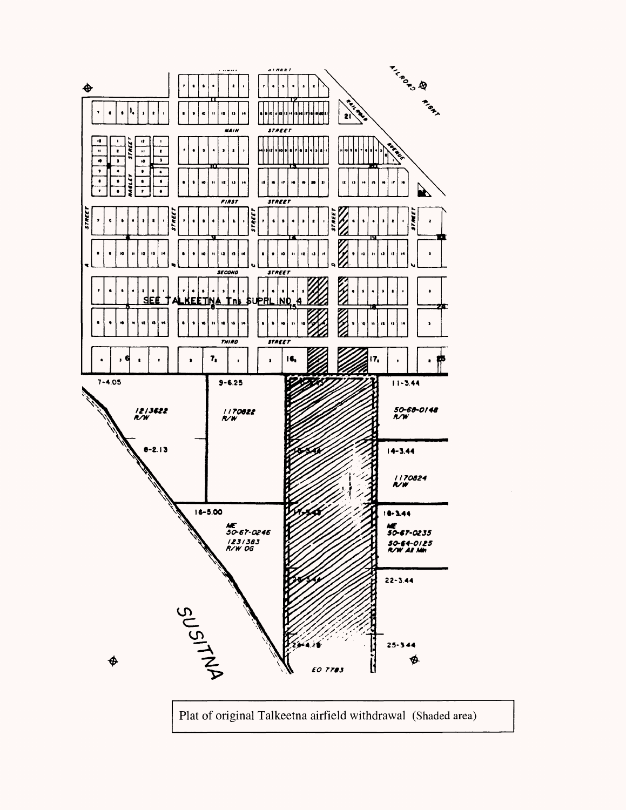

Plat of original Talkeetna airfield withdrawal (Shaded area)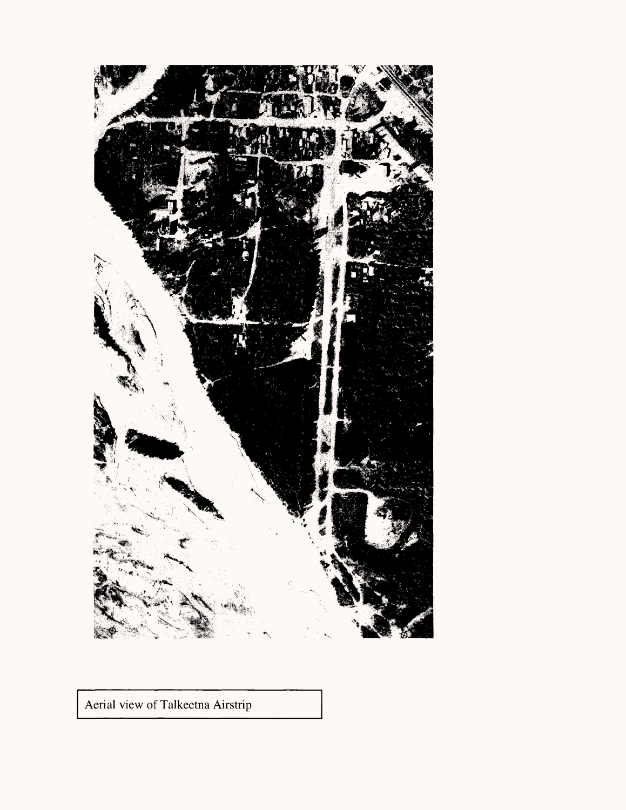

Aerial view of Talkeetna Airstrip